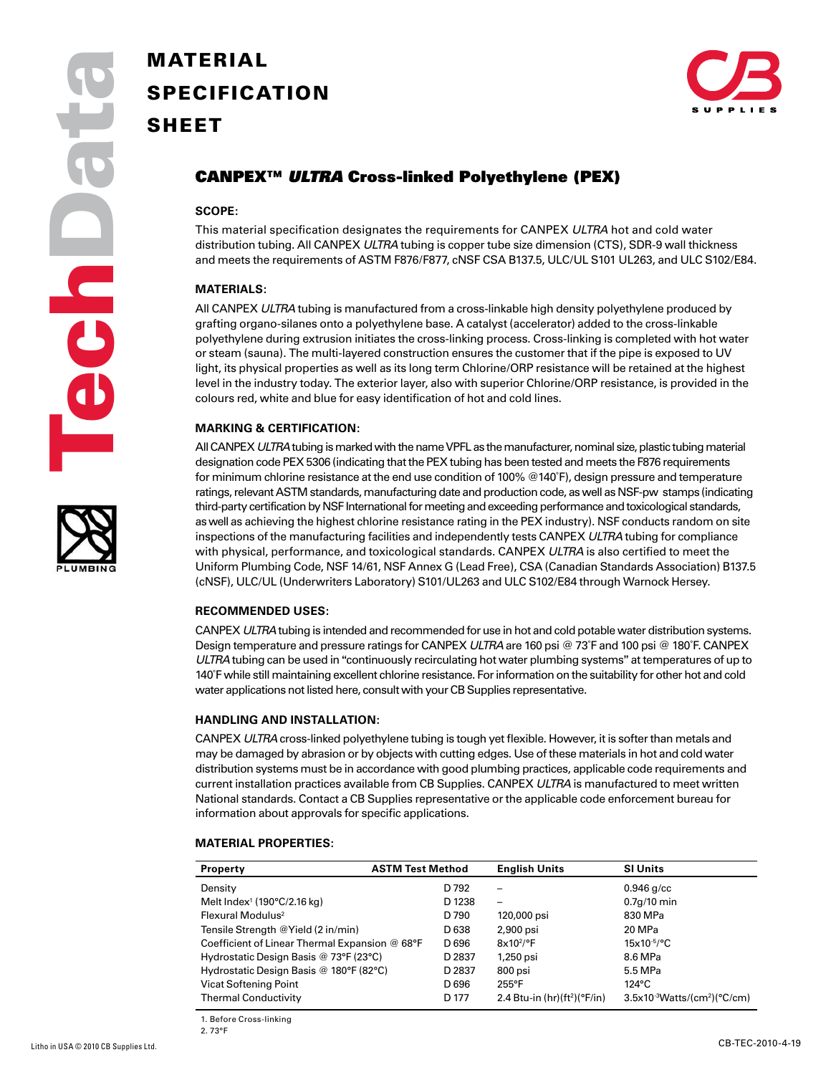

# **SPECIFICATION SHEET**



## CANPEX™ *ULTRA* Cross-linked Polyethylene (PEX)

#### **SCOPE:**

This material specification designates the requirements for CANPEX *ULTRA* hot and cold water distribution tubing. All CANPEX *ULTRA* tubing is copper tube size dimension (CTS), SDR-9 wall thickness and meets the requirements of ASTM F876/F877, cNSF CSA B137.5, ULC/UL S101 UL263, and ULC S102/E84.

#### **MATERIALS:**

All CANPEX *ULTRA* tubing is manufactured from a cross-linkable high density polyethylene produced by grafting organo-silanes onto a polyethylene base. A catalyst (accelerator) added to the cross-linkable polyethylene during extrusion initiates the cross-linking process. Cross-linking is completed with hot water or steam (sauna). The multi-layered construction ensures the customer that if the pipe is exposed to UV light, its physical properties as well as its long term Chlorine/ORP resistance will be retained at the highest level in the industry today. The exterior layer, also with superior Chlorine/ORP resistance, is provided in the colours red, white and blue for easy identification of hot and cold lines.

#### **MARKING & CERTIFICATION:**

All CANPEX *ULTRA* tubing is marked with the name VPFL as the manufacturer, nominal size, plastic tubing material designation code PEX 5306 (indicating that the PEX tubing has been tested and meets the F876 requirements for minimum chlorine resistance at the end use condition of 100% @140˚F), design pressure and temperature ratings, relevant ASTM standards, manufacturing date and production code, as well as NSF-pw stamps (indicating third-party certification by NSF International for meeting and exceeding performance and toxicological standards, as well as achieving the highest chlorine resistance rating in the PEX industry). NSF conducts random on site inspections of the manufacturing facilities and independently tests CANPEX *ULTRA* tubing for compliance with physical, performance, and toxicological standards. CANPEX *ULTRA* is also certified to meet the Uniform Plumbing Code, NSF 14/61, NSF Annex G (Lead Free), CSA (Canadian Standards Association) B137.5 (cNSF), ULC/UL (Underwriters Laboratory) S101/UL263 and ULC S102/E84 through Warnock Hersey.

#### **RECOMMENDED USES:**

CANPEX *ULTRA* tubing is intended and recommended for use in hot and cold potable water distribution systems. Design temperature and pressure ratings for CANPEX *ULTRA* are 160 psi @ 73˚F and 100 psi @ 180˚F. CANPEX *ULTRA* tubing can be used in "continuously recirculating hot water plumbing systems" at temperatures of up to 140˚F while still maintaining excellent chlorine resistance. For information on the suitability for other hot and cold water applications not listed here, consult with your CB Supplies representative.

#### **Handling and Installation:**

CANPEX *ULTRA* cross-linked polyethylene tubing is tough yet flexible. However, it is softer than metals and may be damaged by abrasion or by objects with cutting edges. Use of these materials in hot and cold water distribution systems must be in accordance with good plumbing practices, applicable code requirements and current installation practices available from CB Supplies. CANPEX *ULTRA* is manufactured to meet written National standards. Contact a CB Supplies representative or the applicable code enforcement bureau for information about approvals for specific applications.

#### **MATERIAL PROPERTIES:**

| <b>Property</b>                                   | <b>ASTM Test Method</b> |                  | <b>English Units</b>           | <b>SI Units</b>                 |
|---------------------------------------------------|-------------------------|------------------|--------------------------------|---------------------------------|
| Density                                           |                         | D 792            | -                              | $0.946$ g/cc                    |
| Melt Index <sup>1</sup> (190 $\degree$ C/2.16 kg) |                         | D 1238           | -                              | $0.7q/10$ min                   |
| Flexural Modulus <sup>2</sup>                     |                         | D 790            | 120,000 psi                    | 830 MPa                         |
| Tensile Strength @Yield (2 in/min)                |                         | D <sub>638</sub> | 2,900 psi                      | 20 MPa                          |
| Coefficient of Linear Thermal Expansion @ 68°F    |                         | D <sub>696</sub> | 8x10 <sup>2</sup> /°F          | $15x10^{-5/9}C$                 |
| Hydrostatic Design Basis @ 73°F (23°C)            |                         | D 2837           | 1,250 psi                      | 8.6 MPa                         |
| Hydrostatic Design Basis @ 180°F (82°C)           |                         | D 2837           | 800 psi                        | 5.5 MPa                         |
| <b>Vicat Softening Point</b>                      |                         | D <sub>696</sub> | 255°F                          | 124°C                           |
| <b>Thermal Conductivity</b>                       |                         | D 177            | 2.4 Btu-in $(hr)(ft^2)(°F/in)$ | $3.5x10^{-3}Watts/(cm2)(°C/cm)$ |

1. Before Cross-linking

2. 73°F